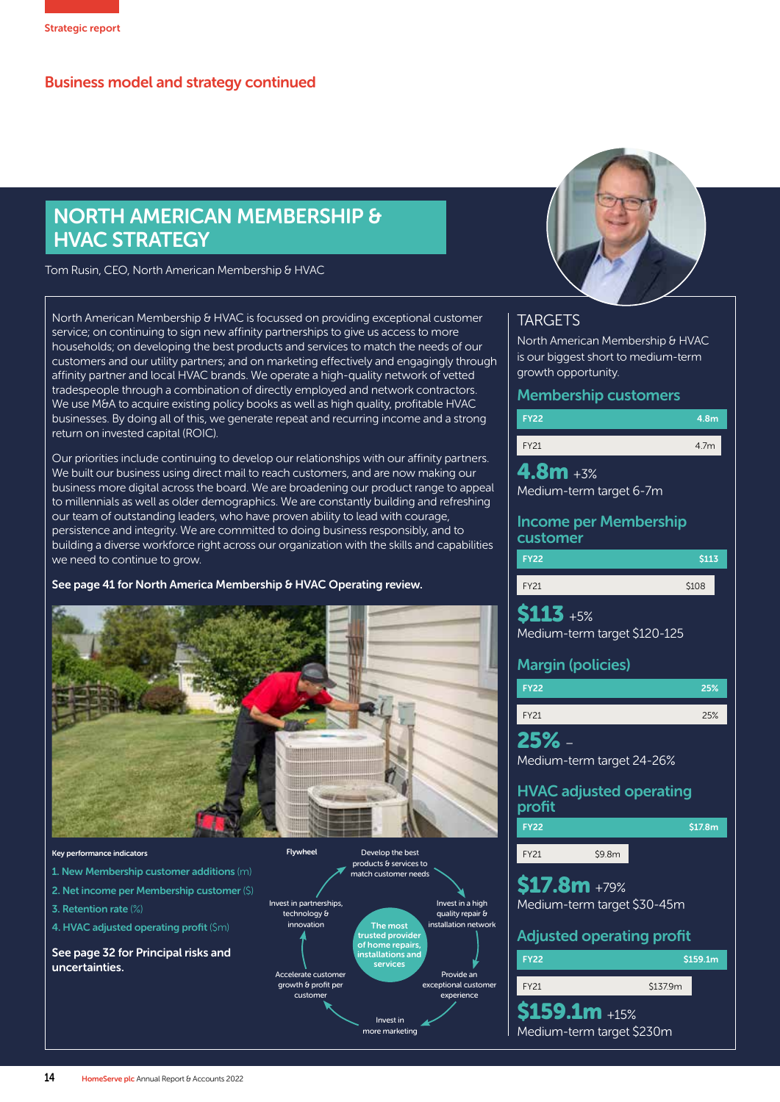## NORTH AMERICAN MEMBERSHIP & HVAC STRATEGY

Tom Rusin, CEO, North American Membership & HVAC

North American Membership & HVAC is focussed on providing exceptional customer service; on continuing to sign new affinity partnerships to give us access to more households; on developing the best products and services to match the needs of our customers and our utility partners; and on marketing effectively and engagingly through affinity partner and local HVAC brands. We operate a high-quality network of vetted tradespeople through a combination of directly employed and network contractors. We use M&A to acquire existing policy books as well as high quality, profitable HVAC businesses. By doing all of this, we generate repeat and recurring income and a strong return on invested capital (ROIC).

Our priorities include continuing to develop our relationships with our affinity partners. We built our business using direct mail to reach customers, and are now making our business more digital across the board. We are broadening our product range to appeal to millennials as well as older demographics. We are constantly building and refreshing our team of outstanding leaders, who have proven ability to lead with courage, persistence and integrity. We are committed to doing business responsibly, and to building a diverse workforce right across our organization with the skills and capabilities we need to continue to grow.

See page 41 for North America Membership & HVAC Operating review.



### Key performance indicators 1. New Membership customer additions (m)

- 2. Net income per Membership customer (\$)
- 3. Retention rate (%)
- 4. HVAC adjusted operating profit (\$m)

See page 32 for Principal risks and uncertainties.





### **TARGETS**

FY22

FY21

North American Membership & HVAC is our biggest short to medium-term growth opportunity.

### Membership customers

| 4.8m |
|------|
| 47m  |

 $4.8m + 3%$ Medium-term target 6-7m

## Income per Membership

| customer    |       |
|-------------|-------|
| <b>FY22</b> | \$113 |
| <b>FY21</b> | \$108 |

 $$113_{+5\%}$ Medium-term target \$120-125

Margin (policies)

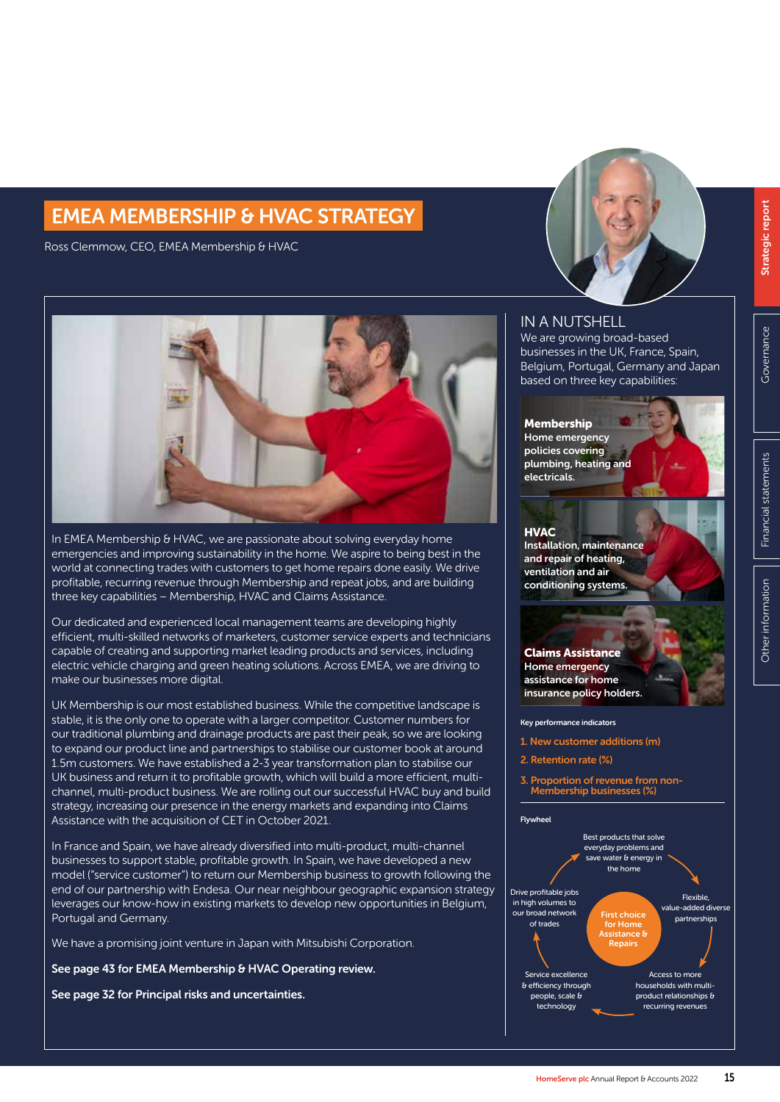# EMEA MEMBERSHIP & HVAC STRATEGY EMEA MEMBERSHIP & HVAC STRATEGY

Ross Clemmow, CEO, EMEA Membership & HVAC



In EMEA Membership & HVAC, we are passionate about solving everyday home emergencies and improving sustainability in the home. We aspire to being best in the world at connecting trades with customers to get home repairs done easily. We drive profitable, recurring revenue through Membership and repeat jobs, and are building three key capabilities – Membership, HVAC and Claims Assistance.

Our dedicated and experienced local management teams are developing highly efficient, multi-skilled networks of marketers, customer service experts and technicians capable of creating and supporting market leading products and services, including electric vehicle charging and green heating solutions. Across EMEA, we are driving to make our businesses more digital.

UK Membership is our most established business. While the competitive landscape is stable, it is the only one to operate with a larger competitor. Customer numbers for our traditional plumbing and drainage products are past their peak, so we are looking to expand our product line and partnerships to stabilise our customer book at around 1.5m customers. We have established a 2-3 year transformation plan to stabilise our UK business and return it to profitable growth, which will build a more efficient, multichannel, multi-product business. We are rolling out our successful HVAC buy and build strategy, increasing our presence in the energy markets and expanding into Claims Assistance with the acquisition of CET in October 2021.

In France and Spain, we have already diversified into multi-product, multi-channel businesses to support stable, profitable growth. In Spain, we have developed a new model ("service customer") to return our Membership business to growth following the end of our partnership with Endesa. Our near neighbour geographic expansion strategy leverages our know-how in existing markets to develop new opportunities in Belgium, Portugal and Germany.

We have a promising joint venture in Japan with Mitsubishi Corporation.

See page 43 for EMEA Membership & HVAC Operating review.

See page 32 for Principal risks and uncertainties.

### IN A NUTSHELL

We are growing broad-based businesses in the UK, France, Spain, Belgium, Portugal, Germany and Japan based on three key capabilities:



**HVAC** Installation, maintenance and repair of heating, ventilation and air conditioning systems.

Claims Assistance Home emergency assistance for home insurance policy holders.

### Key performance indicators

- 1. New customer additions (m)
- 2. Retention rate (%)
- 3. Proportion of revenue from non-Membership businesses (%)